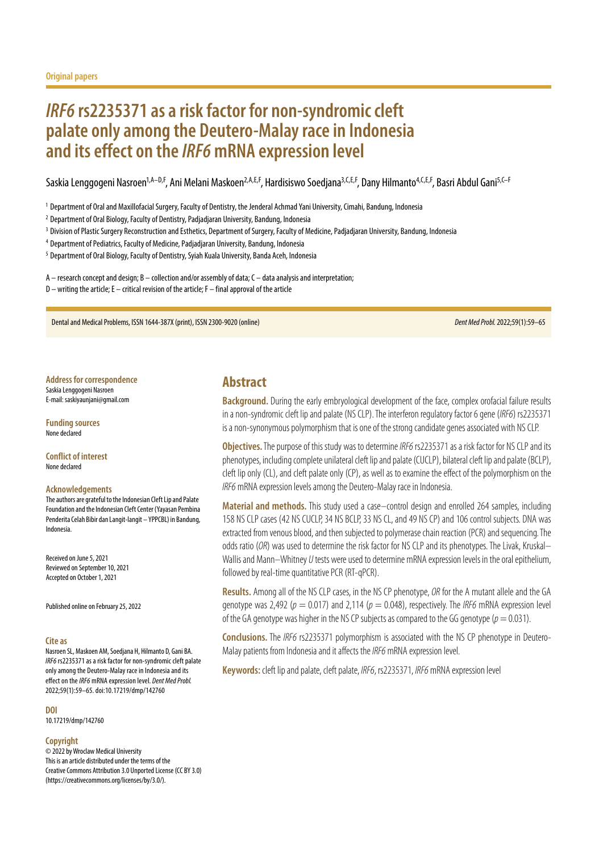# *IRF6* **rs2235371 as a risk factor for non-syndromic cleft palate only among the Deutero-Malay race in Indonesia and its effect on the** *IRF6* **mRNA expression level**

Saskia Lenggogeni Nasroen<sup>1,A–D,F</sup>, Ani Melani Maskoen<sup>2,A,E,F</sup>, Hardisiswo Soedjana<sup>3,C,E,F</sup>, Dany Hilmanto<sup>4,C,E,F</sup>, Basri Abdul Gani<sup>5,C–F</sup>

<sup>1</sup> Department of Oral and Maxillofacial Surgery, Faculty of Dentistry, the Jenderal Achmad Yani University, Cimahi, Bandung, Indonesia

<sup>2</sup> Department of Oral Biology, Faculty of Dentistry, Padjadjaran University, Bandung, Indonesia

<sup>3</sup> Division of Plastic Surgery Reconstruction and Esthetics, Department of Surgery, Faculty of Medicine, Padjadjaran University, Bandung, Indonesia

<sup>4</sup> Department of Pediatrics, Faculty of Medicine, Padjadjaran University, Bandung, Indonesia

<sup>5</sup> Department of Oral Biology, Faculty of Dentistry, Syiah Kuala University, Banda Aceh, Indonesia

A – research concept and design; B – collection and/or assembly of data; C – data analysis and interpretation;  $D$  – writing the article; E – critical revision of the article; F – final approval of the article

Dental and Medical Problems, ISSN 1644-387X (print), ISSN 2300-9020 (online) *Dent Med Probl.* 2022;59(1):59–65

**Address for correspondence** Saskia Lenggogeni Nasroen

E-mail: saskiyaunjani@gmail.com

**Funding sources** None declared

**Conflict of interest** None declared

#### **Acknowledgements**

The authors are grateful to the Indonesian Cleft Lip and Palate Foundation and the Indonesian Cleft Center (Yayasan Pembina Penderita Celah Bibir dan Langit-langit – YPPCBL) in Bandung, Indonesia.

Received on June 5, 2021 Reviewed on September 10, 2021 Accepted on October 1, 2021

Published online on February 25, 2022

#### **Cite as**

Nasroen SL, Maskoen AM, Soedjana H, Hilmanto D, Gani BA. *IRF6* rs2235371 as a risk factor for non-syndromic cleft palate only among the Deutero-Malay race in Indonesia and its effect on the *IRF6* mRNA expression level. *Dent Med Probl.* 2022;59(1):59–65. doi:10.17219/dmp/142760

**DOI**

10.17219/dmp/142760

#### **Copyright**

© 2022 by Wroclaw Medical University This is an article distributed under the terms of the Creative Commons Attribution 3.0 Unported License (CC BY 3.0) [\(https://creativecommons.org/licenses/by/3.0/\)](https://creativecommons.org/licenses/by/3.0/).

# **Abstract**

**Background.** During the early embryological development of the face, complex orofacial failure results in a non-syndromic cleft lip and palate (NS CLP). The interferon regulatory factor 6 gene (*IRF6*) rs2235371 is a non-synonymous polymorphism that is one of the strong candidate genes associated with NS CLP.

**Objectives.** The purpose of this study was to determine *IRF6* rs2235371 as a risk factor for NS CLP and its phenotypes, including complete unilateral cleft lip and palate (CUCLP), bilateral cleft lip and palate (BCLP), cleft lip only (CL), and cleft palate only (CP), as well as to examine the effect of the polymorphism on the *IRF6* mRNA expression levels among the Deutero-Malay race in Indonesia.

**Material and methods.** This study used a case–control design and enrolled 264 samples, including 158 NS CLP cases (42 NS CUCLP, 34 NS BCLP, 33 NS CL, and 49 NS CP) and 106 control subjects. DNA was extracted from venous blood, and then subjected to polymerase chain reaction (PCR) and sequencing. The odds ratio (*OR*) was used to determine the risk factor for NS CLP and its phenotypes. The Livak, Kruskal– Wallis and Mann–Whitney *U* tests were used to determine mRNA expression levels in the oral epithelium, followed by real-time quantitative PCR (RT-qPCR).

**Results.** Among all of the NS CLP cases, in the NS CP phenotype, *OR* for the A mutant allele and the GA genotype was 2,492 (*p* = 0.017) and 2,114 (*p* = 0.048), respectively. The *IRF6* mRNA expression level of the GA genotype was higher in the NS CP subjects as compared to the GG genotype ( $p = 0.031$ ).

**Conclusions.** The *IRF6* rs2235371 polymorphism is associated with the NS CP phenotype in Deutero-Malay patients from Indonesia and it affects the *IRF6* mRNA expression level.

**Keywords:** cleft lip and palate, cleft palate, *IRF6*, rs2235371, *IRF6* mRNA expression level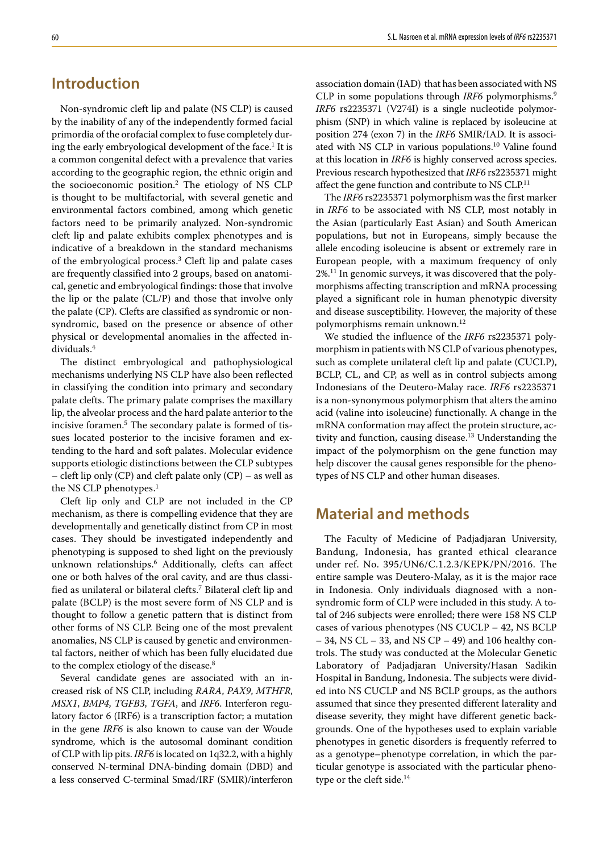# **Introduction**

Non-syndromic cleft lip and palate (NS CLP) is caused by the inability of any of the independently formed facial primordia of the orofacial complex to fuse completely during the early embryological development of the face.<sup>1</sup> It is a common congenital defect with a prevalence that varies according to the geographic region, the ethnic origin and the socioeconomic position.2 The etiology of NS CLP is thought to be multifactorial, with several genetic and environmental factors combined, among which genetic factors need to be primarily analyzed. Non-syndromic cleft lip and palate exhibits complex phenotypes and is indicative of a breakdown in the standard mechanisms of the embryological process.<sup>3</sup> Cleft lip and palate cases are frequently classified into 2 groups, based on anatomical, genetic and embryological findings: those that involve the lip or the palate (CL/P) and those that involve only the palate (CP). Clefts are classified as syndromic or nonsyndromic, based on the presence or absence of other physical or developmental anomalies in the affected individuals.4

The distinct embryological and pathophysiological mechanisms underlying NS CLP have also been reflected in classifying the condition into primary and secondary palate clefts. The primary palate comprises the maxillary lip, the alveolar process and the hard palate anterior to the incisive foramen.5 The secondary palate is formed of tissues located posterior to the incisive foramen and extending to the hard and soft palates. Molecular evidence supports etiologic distinctions between the CLP subtypes – cleft lip only (CP) and cleft palate only (CP) – as well as the NS CLP phenotypes. $<sup>1</sup>$ </sup>

Cleft lip only and CLP are not included in the CP mechanism, as there is compelling evidence that they are developmentally and genetically distinct from CP in most cases. They should be investigated independently and phenotyping is supposed to shed light on the previously unknown relationships.6 Additionally, clefts can affect one or both halves of the oral cavity, and are thus classified as unilateral or bilateral clefts.7 Bilateral cleft lip and palate (BCLP) is the most severe form of NS CLP and is thought to follow a genetic pattern that is distinct from other forms of NS CLP. Being one of the most prevalent anomalies, NS CLP is caused by genetic and environmental factors, neither of which has been fully elucidated due to the complex etiology of the disease.<sup>8</sup>

Several candidate genes are associated with an increased risk of NS CLP, including *RARA*, *PAX9*, *MTHFR*, *MSX1*, *BMP4*, *TGFB3*, *TGFA*, and *IRF6*. Interferon regulatory factor 6 (IRF6) is a transcription factor; a mutation in the gene *IRF6* is also known to cause van der Woude syndrome, which is the autosomal dominant condition of CLP with lip pits. *IRF6* is located on 1q32.2, with a highly conserved N-terminal DNA-binding domain (DBD) and a less conserved C-terminal Smad/IRF (SMIR)/interferon association domain (IAD) that has been associated with NS CLP in some populations through *IRF6* polymorphisms.9 *IRF6* rs2235371 (V274I) is a single nucleotide polymorphism (SNP) in which valine is replaced by isoleucine at position 274 (exon 7) in the *IRF6* SMIR/IAD. It is associated with NS CLP in various populations.<sup>10</sup> Valine found at this location in *IRF6* is highly conserved across species. Previous research hypothesized that *IRF6* rs2235371 might affect the gene function and contribute to NS CLP.<sup>11</sup>

The *IRF6* rs2235371 polymorphism was the first marker in *IRF6* to be associated with NS CLP, most notably in the Asian (particularly East Asian) and South American populations, but not in Europeans, simply because the allele encoding isoleucine is absent or extremely rare in European people, with a maximum frequency of only 2%.11 In genomic surveys, it was discovered that the polymorphisms affecting transcription and mRNA processing played a significant role in human phenotypic diversity and disease susceptibility. However, the majority of these polymorphisms remain unknown.<sup>12</sup>

We studied the influence of the *IRF6* rs2235371 polymorphism in patients with NS CLP of various phenotypes, such as complete unilateral cleft lip and palate (CUCLP), BCLP, CL, and CP, as well as in control subjects among Indonesians of the Deutero-Malay race. *IRF6* rs2235371 is a non-synonymous polymorphism that alters the amino acid (valine into isoleucine) functionally. A change in the mRNA conformation may affect the protein structure, activity and function, causing disease.<sup>13</sup> Understanding the impact of the polymorphism on the gene function may help discover the causal genes responsible for the phenotypes of NS CLP and other human diseases.

# **Material and methods**

The Faculty of Medicine of Padjadjaran University, Bandung, Indonesia, has granted ethical clearance under ref. No. 395/UN6/C.1.2.3/KEPK/PN/2016. The entire sample was Deutero-Malay, as it is the major race in Indonesia. Only individuals diagnosed with a nonsyndromic form of CLP were included in this study. A total of 246 subjects were enrolled; there were 158 NS CLP cases of various phenotypes (NS CUCLP – 42, NS BCLP – 34, NS CL – 33, and NS CP – 49) and 106 healthy controls. The study was conducted at the Molecular Genetic Laboratory of Padjadjaran University/Hasan Sadikin Hospital in Bandung, Indonesia. The subjects were divided into NS CUCLP and NS BCLP groups, as the authors assumed that since they presented different laterality and disease severity, they might have different genetic backgrounds. One of the hypotheses used to explain variable phenotypes in genetic disorders is frequently referred to as a genotype–phenotype correlation, in which the particular genotype is associated with the particular phenotype or the cleft side.<sup>14</sup>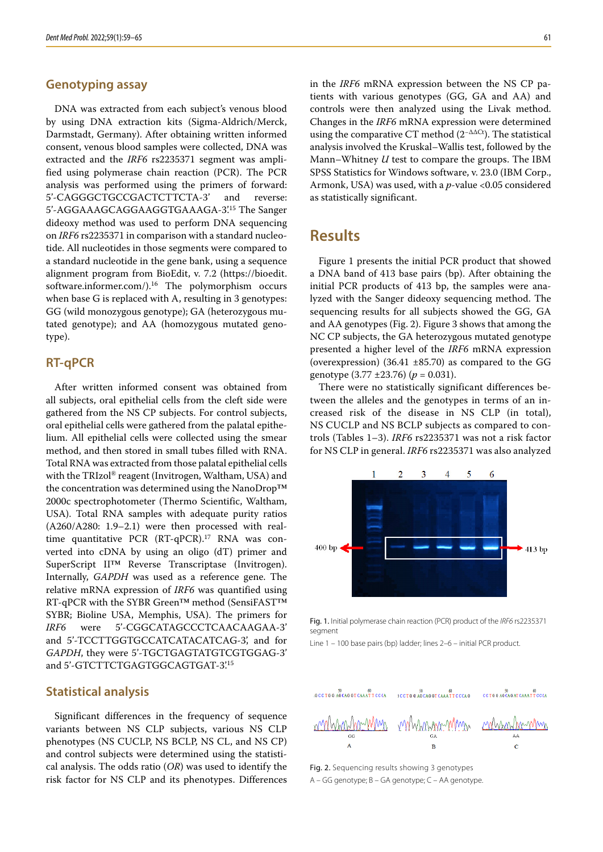### **Genotyping assay**

DNA was extracted from each subject's venous blood by using DNA extraction kits (Sigma-Aldrich/Merck, Darmstadt, Germany). After obtaining written informed consent, venous blood samples were collected, DNA was extracted and the *IRF6* rs2235371 segment was amplified using polymerase chain reaction (PCR). The PCR analysis was performed using the primers of forward: 5'-CAGGGCTGCCGACTCTTCTA-3' and reverse: 5'-AGGAAAGCAGGAAGGTGAAAGA-3'.15 The Sanger dideoxy method was used to perform DNA sequencing on *IRF6* rs2235371 in comparison with a standard nucleotide. All nucleotides in those segments were compared to a standard nucleotide in the gene bank, using a sequence alignment program from BioEdit, v. 7.2 ([https://bioedit.](https://bioedit.software.informer.com/) software.informer.com/ $l$ .<sup>16</sup> The polymorphism occurs when base G is replaced with A, resulting in 3 genotypes: GG (wild monozygous genotype); GA (heterozygous mutated genotype); and AA (homozygous mutated genotype).

### **RT-qPCR**

After written informed consent was obtained from all subjects, oral epithelial cells from the cleft side were gathered from the NS CP subjects. For control subjects, oral epithelial cells were gathered from the palatal epithelium. All epithelial cells were collected using the smear method, and then stored in small tubes filled with RNA. Total RNA was extracted from those palatal epithelial cells with the TRIzol® reagent (Invitrogen, Waltham, USA) and the concentration was determined using the NanoDrop™ 2000c spectrophotometer (Thermo Scientific, Waltham, USA). Total RNA samples with adequate purity ratios (A260/A280: 1.9–2.1) were then processed with realtime quantitative PCR (RT-qPCR).<sup>17</sup> RNA was converted into cDNA by using an oligo (dT) primer and SuperScript II™ Reverse Transcriptase (Invitrogen). Internally, *GAPDH* was used as a reference gene. The relative mRNA expression of *IRF6* was quantified using RT-qPCR with the SYBR Green™ method (SensiFAST™ SYBR; Bioline USA, Memphis, USA). The primers for *IRF6* were 5'-CGGCATAGCCCTCAACAAGAA-3' and 5'-TCCTTGGTGCCATCATACATCAG-3', and for *GAPDH*, they were 5'-TGCTGAGTATGTCGTGGAG-3' and 5'-GTCTTCTGAGTGGCAGTGAT-3'.<sup>15</sup>

### **Statistical analysis**

Significant differences in the frequency of sequence variants between NS CLP subjects, various NS CLP phenotypes (NS CUCLP, NS BCLP, NS CL, and NS CP) and control subjects were determined using the statistical analysis. The odds ratio (*OR*) was used to identify the risk factor for NS CLP and its phenotypes. Differences in the *IRF6* mRNA expression between the NS CP patients with various genotypes (GG, GA and AA) and controls were then analyzed using the Livak method. Changes in the *IRF6* mRNA expression were determined using the comparative CT method  $(2^{-\Delta\Delta Ct})$ . The statistical analysis involved the Kruskal–Wallis test, followed by the Mann–Whitney *U* test to compare the groups. The IBM SPSS Statistics for Windows software, v. 23.0 (IBM Corp., Armonk, USA) was used, with a *p*-value <0.05 considered as statistically significant.

# **Results**

Figure 1 presents the initial PCR product that showed a DNA band of 413 base pairs (bp). After obtaining the initial PCR products of 413 bp, the samples were analyzed with the Sanger dideoxy sequencing method. The sequencing results for all subjects showed the GG, GA and AA genotypes (Fig. 2). Figure 3 shows that among the NC CP subjects, the GA heterozygous mutated genotype presented a higher level of the *IRF6* mRNA expression (overexpression) (36.41 ±85.70) as compared to the GG genotype (3.77 ±23.76) (*p* = 0.031).

There were no statistically significant differences between the alleles and the genotypes in terms of an increased risk of the disease in NS CLP (in total), NS CUCLP and NS BCLP subjects as compared to controls (Tables 1–3). *IRF6* rs2235371 was not a risk factor for NS CLP in general. *IRF6* rs2235371 was also analyzed



Fig. 1. Initial polymerase chain reaction (PCR) product of the *IRF6* rs2235371 segment

Line 1 – 100 base pairs (bp) ladder; lines 2–6 – initial PCR product.



Fig. 2. Sequencing results showing 3 genotypes A – GG genotype; B – GA genotype; C – AA genotype.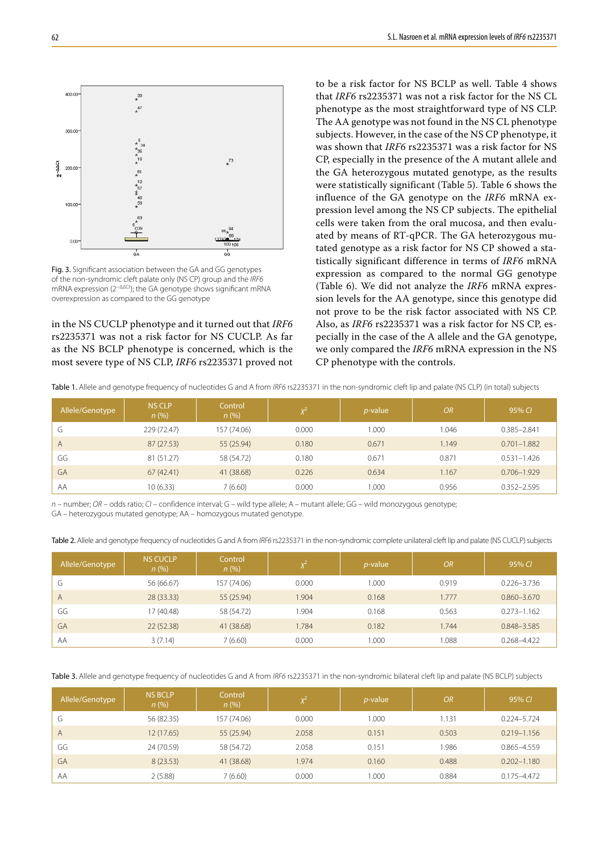

Fig. 3. Significant association between the GA and GG genotypes of the non-syndromic cleft palate only (NS CP) group and the *IRF6* mRNA expression (2<sup>−ΔΔCt</sup>); the GA genotype shows significant mRNA overexpression as compared to the GG genotype

in the NS CUCLP phenotype and it turned out that *IRF6* rs2235371 was not a risk factor for NS CUCLP. As far as the NS BCLP phenotype is concerned, which is the most severe type of NS CLP, *IRF6* rs2235371 proved not to be a risk factor for NS BCLP as well. Table 4 shows that *IRF6* rs2235371 was not a risk factor for the NS CL phenotype as the most straightforward type of NS CLP. The AA genotype was not found in the NS CL phenotype subjects. However, in the case of the NS CP phenotype, it was shown that *IRF6* rs2235371 was a risk factor for NS CP, especially in the presence of the A mutant allele and the GA heterozygous mutated genotype, as the results were statistically significant (Table 5). Table 6 shows the influence of the GA genotype on the *IRF6* mRNA expression level among the NS CP subjects. The epithelial cells were taken from the oral mucosa, and then evaluated by means of RT-qPCR. The GA heterozygous mutated genotype as a risk factor for NS CP showed a statistically significant difference in terms of *IRF6* mRNA expression as compared to the normal GG genotype (Table 6). We did not analyze the *IRF6* mRNA expression levels for the AA genotype, since this genotype did not prove to be the risk factor associated with NS CP. Also, as *IRF6* rs2235371 was a risk factor for NS CP, especially in the case of the A allele and the GA genotype, we only compared the *IRF6* mRNA expression in the NS CP phenotype with the controls.

Table 1. Allele and genotype frequency of nucleotides G and A from *IRF6* rs2235371 in the non-syndromic cleft lip and palate (NS CLP) (in total) subjects

| Allele/Genotype | <b>NS CLP</b><br>n(%) | Control<br>n(%) |       | $p$ -value | <b>OR</b> | 95% CI          |
|-----------------|-----------------------|-----------------|-------|------------|-----------|-----------------|
| -<br>G          | 229 (72.47)           | 157 (74.06)     | 0.000 | 1.000      | 1.046     | $0.385 - 2.841$ |
| A               | 87(27.53)             | 55 (25.94)      | 0.180 | 0.671      | 1.149     | $0.701 - 1.882$ |
| GG              | 81 (51.27)            | 58 (54.72)      | 0.180 | 0.671      | 0.871     | $0.531 - 1.426$ |
| GA              | 67(42.41)             | 41 (38.68)      | 0.226 | 0.634      | 1.167     | $0.706 - 1.929$ |
| AA              | 10(6.33)              | 7 (6.60)        | 0.000 | 1.000      | 0.956     | $0.352 - 2.595$ |

*n* – number; *OR* – odds ratio; *CI* – confidence interval; G – wild type allele; A – mutant allele; GG – wild monozygous genotype; GA – heterozygous mutated genotype; AA – homozygous mutated genotype.

Table 2. Allele and genotype frequency of nucleotides G and A from *IRF6* rs2235371 in the non-syndromic complete unilateral cleft lip and palate (NS CUCLP) subjects

| Allele/Genotype | <b>NS CUCLP</b><br>n(%) | Control<br>n(%) |       | <i>p</i> -value | <b>OR</b> | 95% CI          |
|-----------------|-------------------------|-----------------|-------|-----------------|-----------|-----------------|
| G               | 56 (66.67)              | 157 (74.06)     | 0.000 | 1.000           | 0.919     | $0.226 - 3.736$ |
| $\overline{A}$  | 28 (33.33)              | 55 (25.94)      | 1.904 | 0.168           | 1.777     | $0.860 - 3.670$ |
| GG              | 17 (40.48)              | 58 (54.72)      | .904  | 0.168           | 0.563     | $0.273 - 1.162$ |
| GA              | 22(52.38)               | 41 (38.68)      | 1.784 | 0.182           | 1.744     | 0.848-3.585     |
| AA              | 3(7.14)                 | 7 (6.60)        | 0.000 | 1.000           | 0.088     | 0.268-4.422     |

Table 3. Allele and genotype frequency of nucleotides G and A from *IRF6* rs2235371 in the non-syndromic bilateral cleft lip and palate (NS BCLP) subjects

| Allele/Genotype | <b>NS BCLP</b><br>$n$ (%) | Control<br>n(%) | $\sqrt{2}$ | $p$ -value | <b>OR</b> | 95% CI          |
|-----------------|---------------------------|-----------------|------------|------------|-----------|-----------------|
| G               | 56 (82.35)                | 157 (74.06)     | 0.000      | 1.000      | 1.131     | $0.224 - 5.724$ |
| A               | 12(17.65)                 | 55 (25.94)      | 2.058      | 0.151      | 0.503     | $0.219 - 1.156$ |
| GG              | 24 (70.59)                | 58 (54.72)      | 2.058      | 0.151      | 1.986     | $0.865 - 4.559$ |
| GA              | 8(23.53)                  | 41 (38.68)      | 1.974      | 0.160      | 0.488     | $0.202 - 1.180$ |
| AA              | 2(5.88)                   | 7(6.60)         | 0.000      | 1.000      | 0.884     | $0.175 - 4.472$ |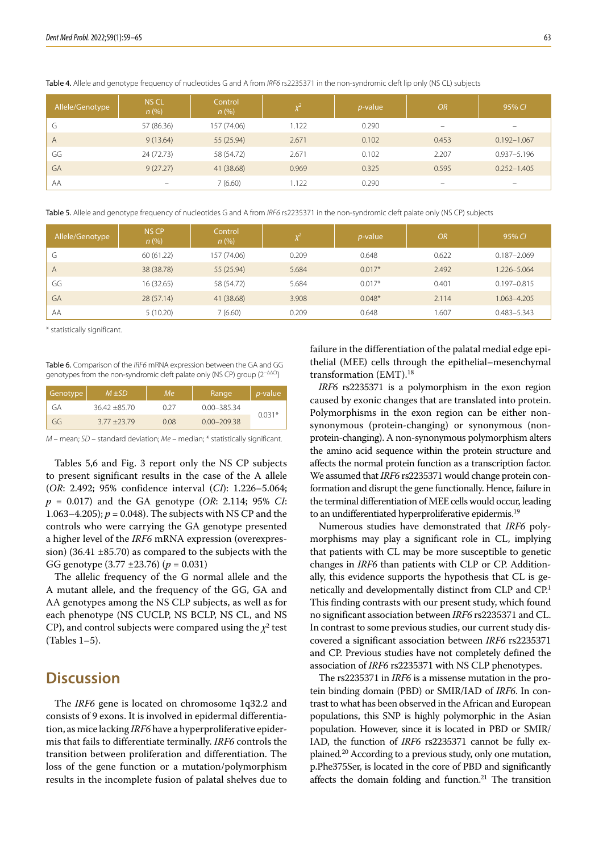Allele/Genotype NS CL *n* (%) Control *n* (%) *χ***<sup>2</sup>** *p***-value 1** *OR* **95%** *CI* G 57 (86.36) 157 (74.06) 1.122 0.290 – – A 9 (13.64) 55 (25.94) 2.671 0.102 0.453 0.192–1.067 GG 24 (72.73) 58 (54.72) 2.671 0.102 2.207 0.937-5.196 GA 9 (27.27) 41 (38.68) 0.969 0.325 0.595 0.252–1.405 AA – 7 (6.60) 1.122 0.290 – –

Table 4. Allele and genotype frequency of nucleotides G and A from *IRF6* rs2235371 in the non-syndromic cleft lip only (NS CL) subjects

Table 5. Allele and genotype frequency of nucleotides G and A from *IRF6* rs2235371 in the non-syndromic cleft palate only (NS CP) subjects

| Allele/Genotype | NS CP<br>n(%) | Control<br>n(% ) | ν <sup>∠</sup> | $p$ -value | <b>OR</b> | 95% CI          |
|-----------------|---------------|------------------|----------------|------------|-----------|-----------------|
| G               | 60(61.22)     | 157 (74.06)      | 0.209          | 0.648      | 0.622     | $0.187 - 2.069$ |
| A               | 38 (38.78)    | 55 (25.94)       | 5.684          | $0.017*$   | 2.492     | 1.226-5.064     |
| GG              | 16 (32.65)    | 58 (54.72)       | 5.684          | $0.017*$   | 0.401     | $0.197 - 0.815$ |
| GA              | 28(57.14)     | 41 (38.68)       | 3.908          | $0.048*$   | 2.114     | 1.063-4.205     |
| AA              | 5(10.20)      | 7 (6.60)         | 0.209          | 0.648      | .607      | $0.483 - 5.343$ |

\* statistically significant.

Table 6. Comparison of the *IRF6* mRNA expression between the GA and GG genotypes from the non-syndromic cleft palate only (NS CP) group (2<sup>−ΔΔCt</sup>)

| Genotype | $M + SD$       | Мe   | Range           | <i>p</i> -value |  |
|----------|----------------|------|-----------------|-----------------|--|
| GА       | $3642 + 8570$  | በ ን7 | $0.00 - 385.34$ |                 |  |
| GG       | $3.77 + 23.79$ | 0.08 | $0.00 - 209.38$ | $0.031*$        |  |

*M* – mean; *SD* – standard deviation; *Me* – median; \* statistically significant.

Tables 5,6 and Fig. 3 report only the NS CP subjects to present significant results in the case of the A allele (*OR*: 2.492; 95% confidence interval (*CI*): 1.226–5.064; *p* = 0.017) and the GA genotype (*OR*: 2.114; 95% *CI*: 1.063–4.205); *p* = 0.048). The subjects with NS CP and the controls who were carrying the GA genotype presented a higher level of the *IRF6* mRNA expression (overexpression) (36.41 ±85.70) as compared to the subjects with the GG genotype (3.77 ±23.76) (*p* = 0.031)

The allelic frequency of the G normal allele and the A mutant allele, and the frequency of the GG, GA and AA genotypes among the NS CLP subjects, as well as for each phenotype (NS CUCLP, NS BCLP, NS CL, and NS CP), and control subjects were compared using the  $\chi^2$  test (Tables 1–5).

# **Discussion**

The *IRF6* gene is located on chromosome 1q32.2 and consists of 9 exons. It is involved in epidermal differentiation, as mice lacking *IRF6* have a hyperproliferative epidermis that fails to differentiate terminally. *IRF6* controls the transition between proliferation and differentiation. The loss of the gene function or a mutation/polymorphism results in the incomplete fusion of palatal shelves due to failure in the differentiation of the palatal medial edge epithelial (MEE) cells through the epithelial–mesenchymal transformation (EMT).18

*IRF6* rs2235371 is a polymorphism in the exon region caused by exonic changes that are translated into protein. Polymorphisms in the exon region can be either nonsynonymous (protein-changing) or synonymous (nonprotein-changing). A non-synonymous polymorphism alters the amino acid sequence within the protein structure and affects the normal protein function as a transcription factor. We assumed that *IRF6* rs2235371 would change protein conformation and disrupt the gene functionally. Hence, failure in the terminal differentiation of MEE cells would occur, leading to an undifferentiated hyperproliferative epidermis.<sup>19</sup>

Numerous studies have demonstrated that *IRF6* polymorphisms may play a significant role in CL, implying that patients with CL may be more susceptible to genetic changes in *IRF6* than patients with CLP or CP. Additionally, this evidence supports the hypothesis that CL is genetically and developmentally distinct from CLP and CP.1 This finding contrasts with our present study, which found no significant association between *IRF6* rs2235371 and CL. In contrast to some previous studies, our current study discovered a significant association between *IRF6* rs2235371 and CP. Previous studies have not completely defined the association of *IRF6* rs2235371 with NS CLP phenotypes.

The rs2235371 in *IRF6* is a missense mutation in the protein binding domain (PBD) or SMIR/IAD of *IRF6*. In contrast to what has been observed in the African and European populations, this SNP is highly polymorphic in the Asian population. However, since it is located in PBD or SMIR/ IAD, the function of *IRF6* rs2235371 cannot be fully explained*.* 20 According to a previous study, only one mutation, p.Phe375Ser, is located in the core of PBD and significantly affects the domain folding and function.21 The transition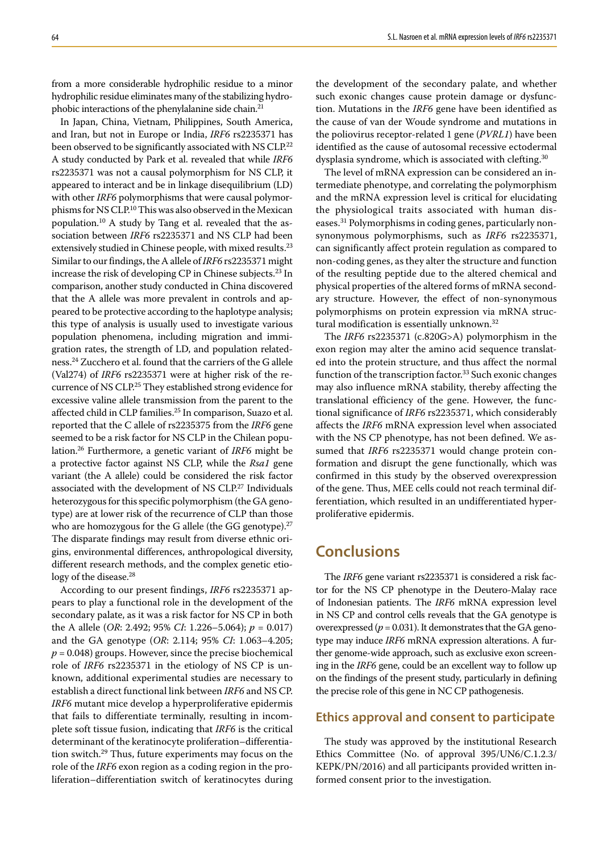from a more considerable hydrophilic residue to a minor hydrophilic residue eliminates many of the stabilizing hydrophobic interactions of the phenylalanine side chain.21

In Japan, China, Vietnam, Philippines, South America, and Iran, but not in Europe or India, *IRF6* rs2235371 has been observed to be significantly associated with NS CLP.<sup>22</sup> A study conducted by Park et al. revealed that while *IRF6* rs2235371 was not a causal polymorphism for NS CLP, it appeared to interact and be in linkage disequilibrium (LD) with other *IRF6* polymorphisms that were causal polymorphisms for NS CLP.10 This was also observed in the Mexican population.10 A study by Tang et al. revealed that the association between *IRF6* rs2235371 and NS CLP had been extensively studied in Chinese people, with mixed results.<sup>23</sup> Similar to our findings, the A allele of *IRF6* rs2235371 might increase the risk of developing CP in Chinese subjects.23 In comparison, another study conducted in China discovered that the A allele was more prevalent in controls and appeared to be protective according to the haplotype analysis; this type of analysis is usually used to investigate various population phenomena, including migration and immigration rates, the strength of LD, and population relatedness.24 Zucchero et al. found that the carriers of the G allele (Val274) of *IRF6* rs2235371 were at higher risk of the recurrence of NS CLP.25 They established strong evidence for excessive valine allele transmission from the parent to the affected child in CLP families.<sup>25</sup> In comparison, Suazo et al. reported that the C allele of rs2235375 from the *IRF6* gene seemed to be a risk factor for NS CLP in the Chilean population.26 Furthermore, a genetic variant of *IRF6* might be a protective factor against NS CLP, while the *Rsa1* gene variant (the A allele) could be considered the risk factor associated with the development of NS CLP.27 Individuals heterozygous for this specific polymorphism (the GA genotype) are at lower risk of the recurrence of CLP than those who are homozygous for the G allele (the GG genotype). $27$ The disparate findings may result from diverse ethnic origins, environmental differences, anthropological diversity, different research methods, and the complex genetic etiology of the disease.<sup>28</sup>

According to our present findings, *IRF6* rs2235371 appears to play a functional role in the development of the secondary palate, as it was a risk factor for NS CP in both the A allele (*OR*: 2.492; 95% *CI*: 1.226–5.064); *p* = 0.017) and the GA genotype (*OR*: 2.114; 95% *CI*: 1.063–4.205;  $p = 0.048$ ) groups. However, since the precise biochemical role of *IRF6* rs2235371 in the etiology of NS CP is unknown, additional experimental studies are necessary to establish a direct functional link between *IRF6* and NS CP. *IRF6* mutant mice develop a hyperproliferative epidermis that fails to differentiate terminally, resulting in incomplete soft tissue fusion, indicating that *IRF6* is the critical determinant of the keratinocyte proliferation–differentiation switch.29 Thus, future experiments may focus on the role of the *IRF6* exon region as a coding region in the proliferation–differentiation switch of keratinocytes during the development of the secondary palate, and whether such exonic changes cause protein damage or dysfunction. Mutations in the *IRF6* gene have been identified as the cause of van der Woude syndrome and mutations in the poliovirus receptor-related 1 gene (*PVRL1*) have been identified as the cause of autosomal recessive ectodermal dysplasia syndrome, which is associated with clefting.<sup>30</sup>

The level of mRNA expression can be considered an intermediate phenotype, and correlating the polymorphism and the mRNA expression level is critical for elucidating the physiological traits associated with human diseases.31 Polymorphisms in coding genes, particularly nonsynonymous polymorphisms, such as *IRF6* rs2235371, can significantly affect protein regulation as compared to non-coding genes, as they alter the structure and function of the resulting peptide due to the altered chemical and physical properties of the altered forms of mRNA secondary structure. However, the effect of non-synonymous polymorphisms on protein expression via mRNA structural modification is essentially unknown.32

The *IRF6* rs2235371 (c.820G>A) polymorphism in the exon region may alter the amino acid sequence translated into the protein structure, and thus affect the normal function of the transcription factor.<sup>33</sup> Such exonic changes may also influence mRNA stability, thereby affecting the translational efficiency of the gene. However, the functional significance of *IRF6* rs2235371, which considerably affects the *IRF6* mRNA expression level when associated with the NS CP phenotype, has not been defined. We assumed that *IRF6* rs2235371 would change protein conformation and disrupt the gene functionally, which was confirmed in this study by the observed overexpression of the gene. Thus, MEE cells could not reach terminal differentiation, which resulted in an undifferentiated hyperproliferative epidermis.

# **Conclusions**

The *IRF6* gene variant rs2235371 is considered a risk factor for the NS CP phenotype in the Deutero-Malay race of Indonesian patients. The *IRF6* mRNA expression level in NS CP and control cells reveals that the GA genotype is overexpressed ( $p = 0.031$ ). It demonstrates that the GA genotype may induce *IRF6* mRNA expression alterations. A further genome-wide approach, such as exclusive exon screening in the *IRF6* gene, could be an excellent way to follow up on the findings of the present study, particularly in defining the precise role of this gene in NC CP pathogenesis.

### **Ethics approval and consent to participate**

The study was approved by the institutional Research Ethics Committee (No. of approval 395/UN6/C.1.2.3/ KEPK/PN/2016) and all participants provided written informed consent prior to the investigation.